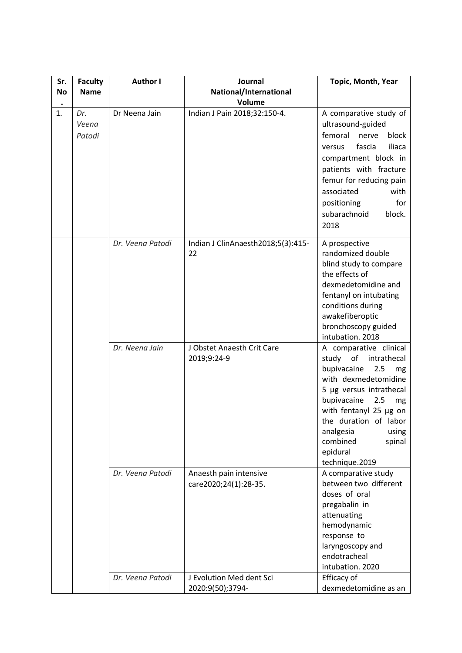| Sr.       | <b>Faculty</b>         | <b>Author I</b>  | Journal                                         | Topic, Month, Year                                                                                                                                                                                                                                                                     |
|-----------|------------------------|------------------|-------------------------------------------------|----------------------------------------------------------------------------------------------------------------------------------------------------------------------------------------------------------------------------------------------------------------------------------------|
| <b>No</b> | <b>Name</b>            |                  | National/International                          |                                                                                                                                                                                                                                                                                        |
|           |                        |                  | Volume                                          |                                                                                                                                                                                                                                                                                        |
| 1.        | Dr.<br>Veena<br>Patodi | Dr Neena Jain    | Indian J Pain 2018;32:150-4.                    | A comparative study of<br>ultrasound-guided<br>femoral<br>nerve<br>block<br>iliaca<br>fascia<br>versus<br>compartment block in<br>patients with fracture<br>femur for reducing pain<br>associated<br>with<br>positioning<br>for<br>subarachnoid<br>block.<br>2018                      |
|           |                        | Dr. Veena Patodi | Indian J ClinAnaesth2018;5(3):415-<br>22        | A prospective<br>randomized double<br>blind study to compare<br>the effects of<br>dexmedetomidine and<br>fentanyl on intubating<br>conditions during<br>awakefiberoptic<br>bronchoscopy guided<br>intubation. 2018                                                                     |
|           |                        | Dr. Neena Jain   | J Obstet Anaesth Crit Care<br>2019;9:24-9       | A comparative clinical<br>study of intrathecal<br>bupivacaine<br>2.5<br>mg<br>with dexmedetomidine<br>5 µg versus intrathecal<br>bupivacaine<br>2.5<br>mg<br>with fentanyl 25 µg on<br>the duration of labor<br>analgesia<br>using<br>combined<br>spinal<br>epidural<br>technique.2019 |
|           |                        | Dr. Veena Patodi | Anaesth pain intensive<br>care2020;24(1):28-35. | A comparative study<br>between two different<br>doses of oral<br>pregabalin in<br>attenuating<br>hemodynamic<br>response to<br>laryngoscopy and<br>endotracheal<br>intubation. 2020                                                                                                    |
|           |                        | Dr. Veena Patodi | J Evolution Med dent Sci<br>2020:9(50);3794-    | Efficacy of<br>dexmedetomidine as an                                                                                                                                                                                                                                                   |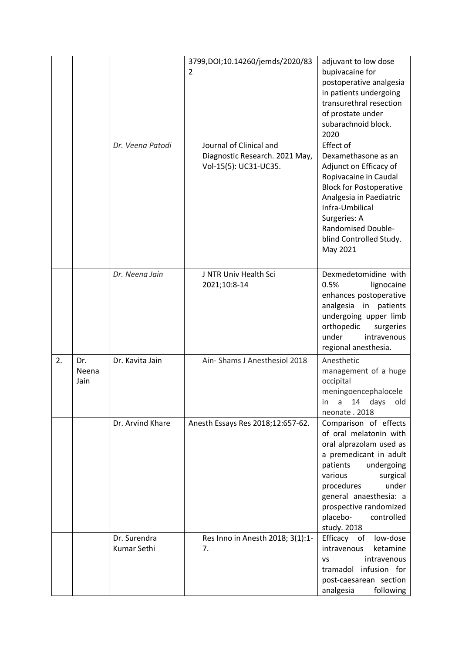|    |                      | Dr. Veena Patodi            | 3799, DOI; 10.14260/jemds/2020/83<br>2<br>Journal of Clinical and | adjuvant to low dose<br>bupivacaine for<br>postoperative analgesia<br>in patients undergoing<br>transurethral resection<br>of prostate under<br>subarachnoid block.<br>2020<br>Effect of                                                                                  |
|----|----------------------|-----------------------------|-------------------------------------------------------------------|---------------------------------------------------------------------------------------------------------------------------------------------------------------------------------------------------------------------------------------------------------------------------|
|    |                      |                             | Diagnostic Research. 2021 May,<br>Vol-15(5): UC31-UC35.           | Dexamethasone as an<br>Adjunct on Efficacy of<br>Ropivacaine in Caudal<br><b>Block for Postoperative</b><br>Analgesia in Paediatric<br>Infra-Umbilical<br>Surgeries: A<br>Randomised Double-<br>blind Controlled Study.<br>May 2021                                       |
|    |                      | Dr. Neena Jain              | J NTR Univ Health Sci<br>2021;10:8-14                             | Dexmedetomidine with<br>0.5%<br>lignocaine<br>enhances postoperative<br>analgesia in patients<br>undergoing upper limb<br>orthopedic<br>surgeries<br>under<br>intravenous<br>regional anesthesia.                                                                         |
| 2. | Dr.<br>Neena<br>Jain | Dr. Kavita Jain             | Ain-Shams J Anesthesiol 2018                                      | Anesthetic<br>management of a huge<br>occipital<br>meningoencephalocele<br>in a 14 days old<br>neonate. 2018                                                                                                                                                              |
|    |                      | Dr. Arvind Khare            | Anesth Essays Res 2018;12:657-62.                                 | Comparison of effects<br>of oral melatonin with<br>oral alprazolam used as<br>a premedicant in adult<br>patients<br>undergoing<br>various<br>surgical<br>under<br>procedures<br>general anaesthesia: a<br>prospective randomized<br>placebo-<br>controlled<br>study. 2018 |
|    |                      | Dr. Surendra<br>Kumar Sethi | Res Inno in Anesth 2018; 3(1):1-<br>7.                            | low-dose<br>Efficacy of<br>intravenous<br>ketamine<br>intravenous<br>VS<br>tramadol infusion for<br>post-caesarean section<br>analgesia<br>following                                                                                                                      |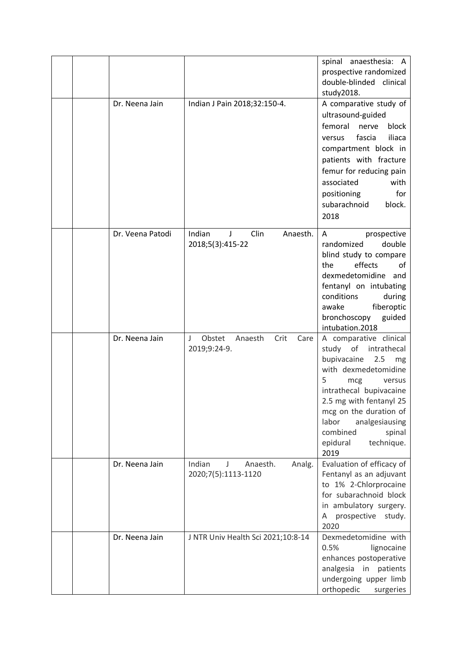|  |                  |                                                          | spinal anaesthesia: A<br>prospective randomized<br>double-blinded clinical<br>study2018.                                                                                                                                                                                                    |
|--|------------------|----------------------------------------------------------|---------------------------------------------------------------------------------------------------------------------------------------------------------------------------------------------------------------------------------------------------------------------------------------------|
|  | Dr. Neena Jain   | Indian J Pain 2018;32:150-4.                             | A comparative study of<br>ultrasound-guided<br>femoral<br>nerve<br>block<br>fascia<br>iliaca<br>versus<br>compartment block in<br>patients with fracture<br>femur for reducing pain<br>associated<br>with<br>for<br>positioning<br>subarachnoid<br>block.<br>2018                           |
|  | Dr. Veena Patodi | Indian<br>Clin<br>J<br>Anaesth.<br>2018;5(3):415-22      | Α<br>prospective<br>randomized<br>double<br>blind study to compare<br>effects<br>the<br>οf<br>dexmedetomidine and<br>fentanyl on intubating<br>conditions<br>during<br>awake<br>fiberoptic<br>bronchoscopy<br>guided<br>intubation.2018                                                     |
|  | Dr. Neena Jain   | Obstet<br>Crit<br>J<br>Anaesth<br>Care<br>2019;9:24-9.   | A comparative clinical<br>study of intrathecal<br>bupivacaine<br>2.5<br>mg<br>with dexmedetomidine<br>5<br>mcg<br>versus<br>intrathecal bupivacaine<br>2.5 mg with fentanyl 25<br>mcg on the duration of<br>labor<br>analgesiausing<br>combined<br>spinal<br>epidural<br>technique.<br>2019 |
|  | Dr. Neena Jain   | Indian<br>J<br>Anaesth.<br>Analg.<br>2020;7(5):1113-1120 | Evaluation of efficacy of<br>Fentanyl as an adjuvant<br>to 1% 2-Chlorprocaine<br>for subarachnoid block<br>in ambulatory surgery.<br>prospective<br>study.<br>A<br>2020                                                                                                                     |
|  | Dr. Neena Jain   | J NTR Univ Health Sci 2021;10:8-14                       | Dexmedetomidine with<br>0.5%<br>lignocaine<br>enhances postoperative<br>analgesia in patients<br>undergoing upper limb<br>orthopedic<br>surgeries                                                                                                                                           |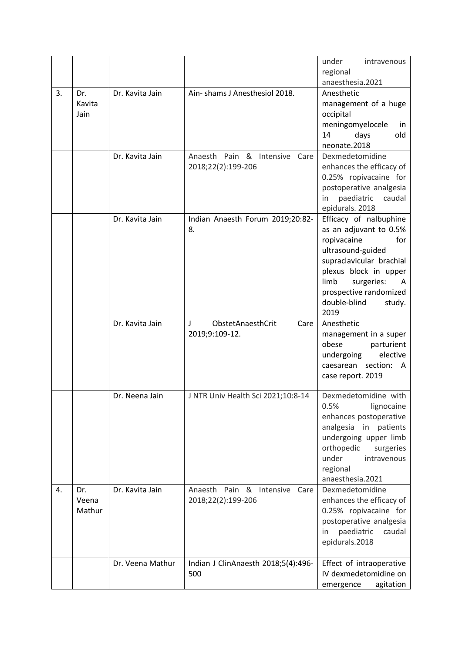|    |                       |                  |                                     | under<br>intravenous                             |
|----|-----------------------|------------------|-------------------------------------|--------------------------------------------------|
|    |                       |                  |                                     | regional                                         |
|    |                       |                  |                                     | anaesthesia.2021                                 |
| 3. | Dr.<br>Kavita<br>Jain | Dr. Kavita Jain  | Ain-shams J Anesthesiol 2018.       | Anesthetic<br>management of a huge<br>occipital  |
|    |                       |                  |                                     | meningomyelocele<br>in                           |
|    |                       |                  |                                     | 14<br>old<br>days                                |
|    |                       |                  |                                     | neonate.2018                                     |
|    |                       | Dr. Kavita Jain  | Anaesth Pain & Intensive Care       | Dexmedetomidine                                  |
|    |                       |                  | 2018;22(2):199-206                  | enhances the efficacy of                         |
|    |                       |                  |                                     | 0.25% ropivacaine for                            |
|    |                       |                  |                                     | postoperative analgesia                          |
|    |                       |                  |                                     | paediatric<br>caudal<br>in.                      |
|    |                       | Dr. Kavita Jain  | Indian Anaesth Forum 2019;20:82-    | epidurals. 2018<br>Efficacy of nalbuphine        |
|    |                       |                  | 8.                                  | as an adjuvant to 0.5%                           |
|    |                       |                  |                                     | ropivacaine<br>for                               |
|    |                       |                  |                                     | ultrasound-guided                                |
|    |                       |                  |                                     | supraclavicular brachial                         |
|    |                       |                  |                                     | plexus block in upper                            |
|    |                       |                  |                                     | limb<br>surgeries:<br>A                          |
|    |                       |                  |                                     | prospective randomized                           |
|    |                       |                  |                                     | double-blind<br>study.<br>2019                   |
|    |                       | Dr. Kavita Jain  | ObstetAnaesthCrit<br>Care<br>J      | Anesthetic                                       |
|    |                       |                  | 2019;9:109-12.                      | management in a super                            |
|    |                       |                  |                                     | obese<br>parturient                              |
|    |                       |                  |                                     | undergoing<br>elective                           |
|    |                       |                  |                                     | caesarean section:<br>A                          |
|    |                       |                  |                                     | case report. 2019                                |
|    |                       | Dr. Neena Jain   | J NTR Univ Health Sci 2021;10:8-14  | Dexmedetomidine with                             |
|    |                       |                  |                                     | 0.5%<br>lignocaine                               |
|    |                       |                  |                                     | enhances postoperative                           |
|    |                       |                  |                                     | analgesia<br>in patients                         |
|    |                       |                  |                                     | undergoing upper limb<br>orthopedic<br>surgeries |
|    |                       |                  |                                     | under<br>intravenous                             |
|    |                       |                  |                                     | regional                                         |
|    |                       |                  |                                     | anaesthesia.2021                                 |
| 4. | Dr.                   | Dr. Kavita Jain  | Anaesth Pain & Intensive<br>Care    | Dexmedetomidine                                  |
|    | Veena                 |                  | 2018;22(2):199-206                  | enhances the efficacy of                         |
|    | Mathur                |                  |                                     | 0.25% ropivacaine for                            |
|    |                       |                  |                                     | postoperative analgesia<br>paediatric<br>caudal  |
|    |                       |                  |                                     | in<br>epidurals.2018                             |
|    |                       |                  |                                     |                                                  |
|    |                       | Dr. Veena Mathur | Indian J ClinAnaesth 2018;5(4):496- | Effect of intraoperative                         |
|    |                       |                  | 500                                 | IV dexmedetomidine on                            |
|    |                       |                  |                                     | agitation<br>emergence                           |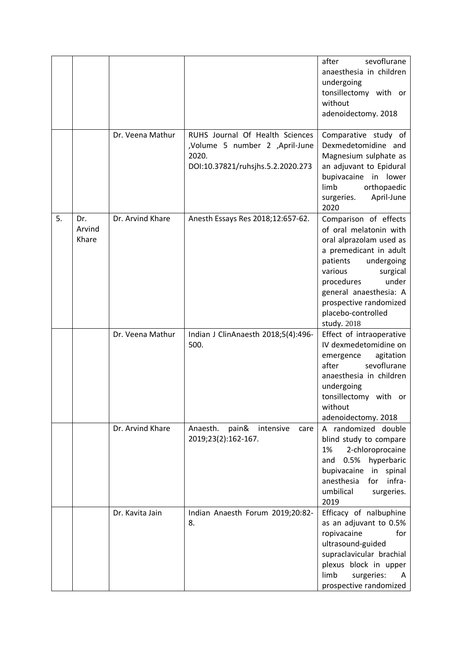|    |                        |                  |                                                                                                                 | after<br>sevoflurane<br>anaesthesia in children<br>undergoing<br>tonsillectomy with or<br>without<br>adenoidectomy. 2018                                                                                                                                              |
|----|------------------------|------------------|-----------------------------------------------------------------------------------------------------------------|-----------------------------------------------------------------------------------------------------------------------------------------------------------------------------------------------------------------------------------------------------------------------|
|    |                        | Dr. Veena Mathur | RUHS Journal Of Health Sciences<br>,Volume 5 number 2 ,April-June<br>2020.<br>DOI:10.37821/ruhsjhs.5.2.2020.273 | Comparative study of<br>Dexmedetomidine and<br>Magnesium sulphate as<br>an adjuvant to Epidural<br>bupivacaine in lower<br>limb<br>orthopaedic<br>surgeries.<br>April-June<br>2020                                                                                    |
| 5. | Dr.<br>Arvind<br>Khare | Dr. Arvind Khare | Anesth Essays Res 2018;12:657-62.                                                                               | Comparison of effects<br>of oral melatonin with<br>oral alprazolam used as<br>a premedicant in adult<br>patients<br>undergoing<br>various<br>surgical<br>under<br>procedures<br>general anaesthesia: A<br>prospective randomized<br>placebo-controlled<br>study. 2018 |
|    |                        | Dr. Veena Mathur | Indian J ClinAnaesth 2018;5(4):496-<br>500.                                                                     | Effect of intraoperative<br>IV dexmedetomidine on<br>agitation<br>emergence<br>sevoflurane<br>after<br>anaesthesia in children<br>undergoing<br>tonsillectomy with or<br>without<br>adenoidectomy. 2018                                                               |
|    |                        | Dr. Arvind Khare | Anaesth.<br>pain&<br>intensive<br>care<br>2019;23(2):162-167.                                                   | A randomized double<br>blind study to compare<br>2-chloroprocaine<br>1%<br>hyperbaric<br>0.5%<br>and<br>bupivacaine<br>in<br>spinal<br>infra-<br>anesthesia<br>for<br>umbilical<br>surgeries.<br>2019                                                                 |
|    |                        | Dr. Kavita Jain  | Indian Anaesth Forum 2019;20:82-<br>8.                                                                          | Efficacy of nalbuphine<br>as an adjuvant to 0.5%<br>ropivacaine<br>for<br>ultrasound-guided<br>supraclavicular brachial<br>plexus block in upper<br>limb<br>surgeries:<br>A<br>prospective randomized                                                                 |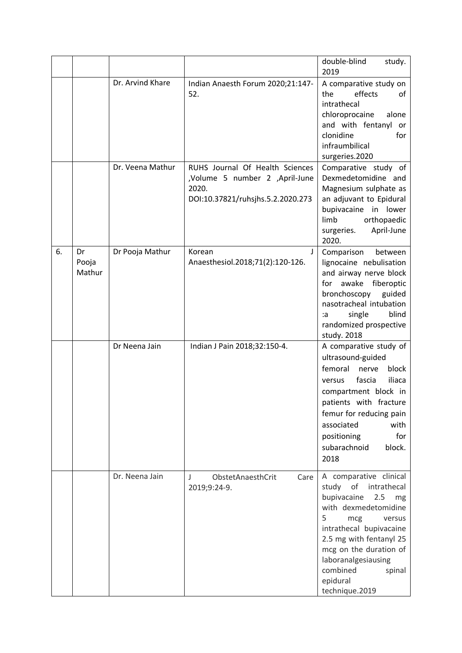|    |                       |                  |                                                                                                                 | double-blind<br>study.<br>2019                                                                                                                                                                                                                                                      |
|----|-----------------------|------------------|-----------------------------------------------------------------------------------------------------------------|-------------------------------------------------------------------------------------------------------------------------------------------------------------------------------------------------------------------------------------------------------------------------------------|
|    |                       | Dr. Arvind Khare | Indian Anaesth Forum 2020;21:147-<br>52.                                                                        | A comparative study on<br>the<br>effects<br>of<br>intrathecal<br>chloroprocaine<br>alone<br>and with fentanyl or<br>clonidine<br>for<br>infraumbilical<br>surgeries.2020                                                                                                            |
|    |                       | Dr. Veena Mathur | RUHS Journal Of Health Sciences<br>,Volume 5 number 2 ,April-June<br>2020.<br>DOI:10.37821/ruhsjhs.5.2.2020.273 | Comparative study of<br>Dexmedetomidine and<br>Magnesium sulphate as<br>an adjuvant to Epidural<br>bupivacaine in lower<br>limb<br>orthopaedic<br>surgeries.<br>April-June<br>2020.                                                                                                 |
| 6. | Dr<br>Pooja<br>Mathur | Dr Pooja Mathur  | Korean<br>J<br>Anaesthesiol.2018;71(2):120-126.                                                                 | Comparison<br>between<br>lignocaine nebulisation<br>and airway nerve block<br>awake fiberoptic<br>for<br>bronchoscopy<br>guided<br>nasotracheal intubation<br>blind<br>single<br>:a<br>randomized prospective<br>study. 2018                                                        |
|    |                       | Dr Neena Jain    | Indian J Pain 2018;32:150-4.                                                                                    | A comparative study of<br>ultrasound-guided<br>femoral<br>nerve<br>block<br>iliaca<br>fascia<br>versus<br>compartment block in<br>patients with fracture<br>femur for reducing pain<br>associated<br>with<br>for<br>positioning<br>subarachnoid<br>block.<br>2018                   |
|    |                       | Dr. Neena Jain   | ObstetAnaesthCrit<br>$\perp$<br>Care<br>2019;9:24-9.                                                            | A comparative clinical<br>study of intrathecal<br>bupivacaine<br>2.5<br>mg<br>with dexmedetomidine<br>5<br>versus<br>mcg<br>intrathecal bupivacaine<br>2.5 mg with fentanyl 25<br>mcg on the duration of<br>laboranalgesiausing<br>combined<br>spinal<br>epidural<br>technique.2019 |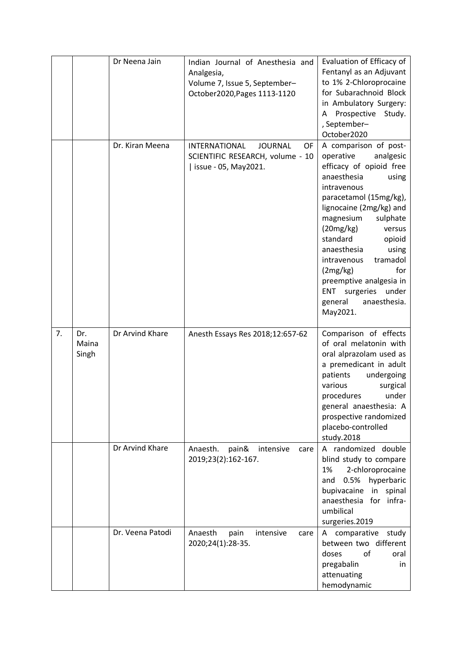|    |                       | Dr Neena Jain    | Indian Journal of Anesthesia and<br>Analgesia,<br>Volume 7, Issue 5, September-<br>October2020, Pages 1113-1120 | Evaluation of Efficacy of<br>Fentanyl as an Adjuvant<br>to 1% 2-Chloroprocaine<br>for Subarachnoid Block<br>in Ambulatory Surgery:<br>Prospective Study.<br>A<br>, September-<br>October2020                                                                                                                                                                                                                          |
|----|-----------------------|------------------|-----------------------------------------------------------------------------------------------------------------|-----------------------------------------------------------------------------------------------------------------------------------------------------------------------------------------------------------------------------------------------------------------------------------------------------------------------------------------------------------------------------------------------------------------------|
|    |                       | Dr. Kiran Meena  | <b>INTERNATIONAL</b><br><b>JOURNAL</b><br>OF<br>SCIENTIFIC RESEARCH, volume - 10<br>  issue - 05, May2021.      | A comparison of post-<br>operative<br>analgesic<br>efficacy of opioid free<br>anaesthesia<br>using<br>intravenous<br>paracetamol (15mg/kg),<br>lignocaine (2mg/kg) and<br>magnesium<br>sulphate<br>(20mg/kg)<br>versus<br>standard<br>opioid<br>anaesthesia<br>using<br>tramadol<br>intravenous<br>(2mg/kg)<br>for<br>preemptive analgesia in<br>surgeries under<br><b>ENT</b><br>general<br>anaesthesia.<br>May2021. |
| 7. | Dr.<br>Maina<br>Singh | Dr Arvind Khare  | Anesth Essays Res 2018;12:657-62                                                                                | Comparison of effects<br>of oral melatonin with<br>oral alprazolam used as<br>a premedicant in adult<br>patients<br>undergoing<br>various<br>surgical<br>under<br>procedures<br>general anaesthesia: A<br>prospective randomized<br>placebo-controlled<br>study.2018                                                                                                                                                  |
|    |                       | Dr Arvind Khare  | Anaesth.<br>pain&<br>intensive<br>care<br>2019;23(2):162-167.                                                   | A randomized double<br>blind study to compare<br>2-chloroprocaine<br>1%<br>hyperbaric<br>0.5%<br>and<br>bupivacaine<br>in spinal<br>anaesthesia for infra-<br>umbilical<br>surgeries.2019                                                                                                                                                                                                                             |
|    |                       | Dr. Veena Patodi | Anaesth<br>pain<br>intensive<br>care<br>2020;24(1):28-35.                                                       | A comparative study<br>between two different<br>of<br>doses<br>oral<br>pregabalin<br>in.<br>attenuating<br>hemodynamic                                                                                                                                                                                                                                                                                                |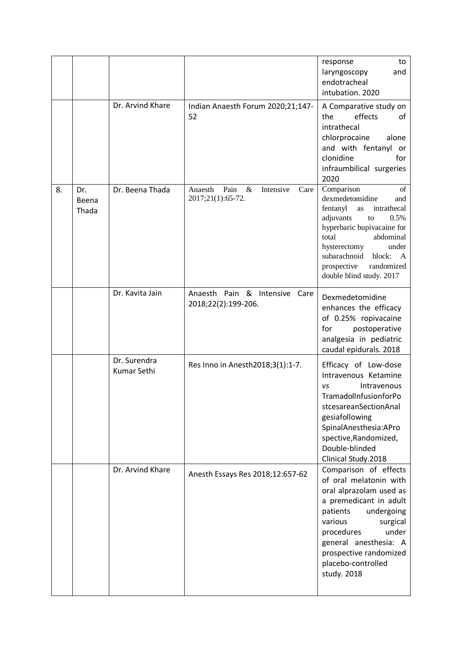|    |                       |                             |                                                                | to<br>response<br>laryngoscopy<br>and<br>endotracheal<br>intubation. 2020                                                                                                                                                                                                   |
|----|-----------------------|-----------------------------|----------------------------------------------------------------|-----------------------------------------------------------------------------------------------------------------------------------------------------------------------------------------------------------------------------------------------------------------------------|
|    |                       | Dr. Arvind Khare            | Indian Anaesth Forum 2020;21;147-<br>52                        | A Comparative study on<br>effects<br>the<br>of<br>intrathecal<br>chlorprocaine<br>alone<br>and with fentanyl or<br>clonidine<br>for<br>infraumbilical surgeries<br>2020                                                                                                     |
| 8. | Dr.<br>Beena<br>Thada | Dr. Beena Thada             | Pain<br>Intensive<br>Anaesth<br>&<br>Care<br>2017;21(1):65-72. | Comparison<br>of<br>dexmedetomidine<br>and<br>fentanyl<br>intrathecal<br>as<br>adjuvants<br>to<br>0.5%<br>hyperbaric bupivacaine for<br>total<br>abdominal<br>hysterectomy<br>under<br>subarachnoid<br>block:<br>A<br>prospective<br>randomized<br>double blind study. 2017 |
|    |                       | Dr. Kavita Jain             | Anaesth Pain & Intensive Care<br>2018;22(2):199-206.           | Dexmedetomidine<br>enhances the efficacy<br>of 0.25% ropivacaine<br>postoperative<br>for<br>analgesia in pediatric<br>caudal epidurals. 2018                                                                                                                                |
|    |                       | Dr. Surendra<br>Kumar Sethi | Res Inno in Anesth 2018; 3(1): 1-7.                            | Efficacy of Low-dose<br>Intravenous Ketamine<br>Intravenous<br>VS<br>TramadolInfusionforPo<br>stcesareanSectionAnal<br>gesiafollowing<br>SpinalAnesthesia:APro<br>spective, Randomized,<br>Double-blinded<br>Clinical Study.2018                                            |
|    |                       | Dr. Arvind Khare            | Anesth Essays Res 2018;12:657-62                               | Comparison of effects<br>of oral melatonin with<br>oral alprazolam used as<br>a premedicant in adult<br>patients<br>undergoing<br>various<br>surgical<br>under<br>procedures<br>general anesthesia: A<br>prospective randomized<br>placebo-controlled<br>study. 2018        |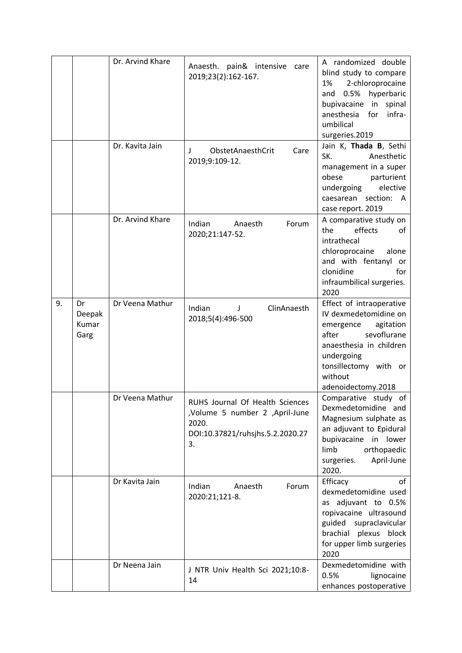|    |                               | Dr. Arvind Khare | Anaesth. pain& intensive care<br>2019;23(2):162-167.                                                                 | A randomized double<br>blind study to compare<br>2-chloroprocaine<br>1%<br>hyperbaric<br>0.5%<br>and<br>bupivacaine in<br>spinal<br>anesthesia for<br>infra-<br>umbilical<br>surgeries.2019            |
|----|-------------------------------|------------------|----------------------------------------------------------------------------------------------------------------------|--------------------------------------------------------------------------------------------------------------------------------------------------------------------------------------------------------|
|    |                               | Dr. Kavita Jain  | ObstetAnaesthCrit<br>Care<br>J.<br>2019;9:109-12.                                                                    | Jain K, Thada B, Sethi<br>SK.<br>Anesthetic<br>management in a super<br>obese<br>parturient<br>elective<br>undergoing<br>caesarean section:<br>A<br>case report. 2019                                  |
|    |                               | Dr. Arvind Khare | Indian<br>Anaesth<br>Forum<br>2020;21:147-52.                                                                        | A comparative study on<br>effects<br>the<br>of<br>intrathecal<br>chloroprocaine<br>alone<br>and with fentanyl<br>or<br>clonidine<br>for<br>infraumbilical surgeries.<br>2020                           |
| 9. | Dr<br>Deepak<br>Kumar<br>Garg | Dr Veena Mathur  | Indian<br>ClinAnaesth<br>J<br>2018;5(4):496-500                                                                      | Effect of intraoperative<br>IV dexmedetomidine on<br>emergence<br>agitation<br>sevoflurane<br>after<br>anaesthesia in children<br>undergoing<br>tonsillectomy with or<br>without<br>adenoidectomy.2018 |
|    |                               | Dr Veena Mathur  | RUHS Journal Of Health Sciences<br>,Volume 5 number 2 ,April-June<br>2020.<br>DOI:10.37821/ruhsjhs.5.2.2020.27<br>3. | Comparative study of<br>Dexmedetomidine and<br>Magnesium sulphate as<br>an adjuvant to Epidural<br>bupivacaine in lower<br>limb<br>orthopaedic<br>April-June<br>surgeries.<br>2020.                    |
|    |                               | Dr Kavita Jain   | Indian<br>Anaesth<br>Forum<br>2020:21;121-8.                                                                         | Efficacy<br>of<br>dexmedetomidine used<br>as adjuvant to 0.5%<br>ropivacaine ultrasound<br>guided supraclavicular<br>brachial plexus block<br>for upper limb surgeries<br>2020                         |
|    |                               | Dr Neena Jain    | J NTR Univ Health Sci 2021;10:8-<br>14                                                                               | Dexmedetomidine with<br>0.5%<br>lignocaine<br>enhances postoperative                                                                                                                                   |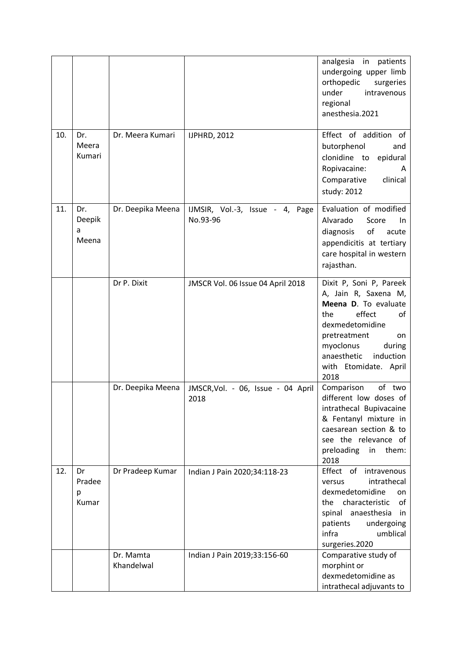|     |                             |                         |                                             | analgesia<br>in<br>patients<br>undergoing upper limb<br>orthopedic<br>surgeries<br>under<br>intravenous<br>regional<br>anesthesia.2021                                                                                      |
|-----|-----------------------------|-------------------------|---------------------------------------------|-----------------------------------------------------------------------------------------------------------------------------------------------------------------------------------------------------------------------------|
| 10. | Dr.<br>Meera<br>Kumari      | Dr. Meera Kumari        | <b>IJPHRD, 2012</b>                         | Effect of addition of<br>butorphenol<br>and<br>clonidine to<br>epidural<br>Ropivacaine:<br>A<br>Comparative<br>clinical<br>study: 2012                                                                                      |
| 11. | Dr.<br>Deepik<br>a<br>Meena | Dr. Deepika Meena       | IJMSIR, Vol.-3, Issue - 4, Page<br>No.93-96 | Evaluation of modified<br>Alvarado<br>Score<br>In.<br>of<br>diagnosis<br>acute<br>appendicitis at tertiary<br>care hospital in western<br>rajasthan.                                                                        |
|     |                             | Dr P. Dixit             | JMSCR Vol. 06 Issue 04 April 2018           | Dixit P, Soni P, Pareek<br>A, Jain R, Saxena M,<br>Meena D. To evaluate<br>effect<br>the<br>of<br>dexmedetomidine<br>pretreatment<br>on<br>myoclonus<br>during<br>anaesthetic<br>induction<br>with Etomidate. April<br>2018 |
|     |                             | Dr. Deepika Meena       | JMSCR, Vol. - 06, Issue - 04 April<br>2018  | Comparison<br>of two<br>different low doses of<br>intrathecal Bupivacaine<br>& Fentanyl mixture in<br>caesarean section & to<br>see the relevance of<br>preloading in<br>them:<br>2018                                      |
| 12. | Dr<br>Pradee<br>р<br>Kumar  | Dr Pradeep Kumar        | Indian J Pain 2020;34:118-23                | Effect of<br>intravenous<br>intrathecal<br>versus<br>dexmedetomidine<br>on<br>characteristic<br>the<br>of<br>spinal anaesthesia<br>in<br>patients<br>undergoing<br>infra<br>umblical<br>surgeries.2020                      |
|     |                             | Dr. Mamta<br>Khandelwal | Indian J Pain 2019;33:156-60                | Comparative study of<br>morphint or<br>dexmedetomidine as<br>intrathecal adjuvants to                                                                                                                                       |